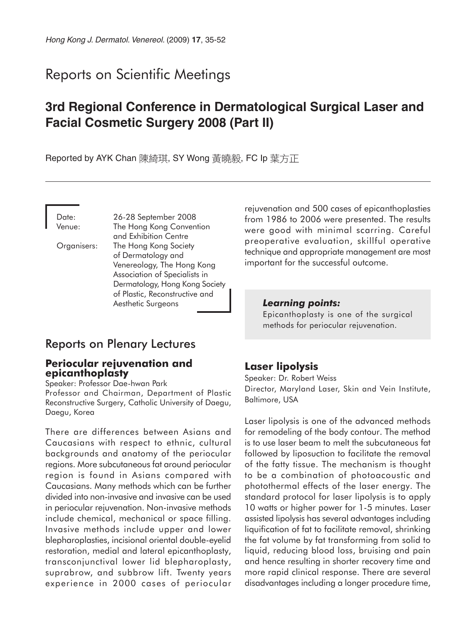# Reports on Scientific Meetings

# **3rd Regional Conference in Dermatological Surgical Laser and Facial Cosmetic Surgery 2008 (Part II)**

Reported by AYK Chan 陳綺琪, SY Wong 黃曉毅, FC Ip 葉方正

Date: 26-28 September 2008 Venue: The Hong Kong Convention and Exhibition Centre Organisers: The Hong Kong Society of Dermatology and Venereology, The Hong Kong Association of Specialists in Dermatology, Hong Kong Society of Plastic, Reconstructive and Aesthetic Surgeons

## Reports on Plenary Lectures

### **Periocular rejuvenation and epicanthoplasty**

Speaker: Professor Dae-hwan Park

Professor and Chairman, Department of Plastic Reconstructive Surgery, Catholic University of Daegu, Daegu, Korea

There are differences between Asians and Caucasians with respect to ethnic, cultural backgrounds and anatomy of the periocular regions. More subcutaneous fat around periocular region is found in Asians compared with Caucasians. Many methods which can be further divided into non-invasive and invasive can be used in periocular rejuvenation. Non-invasive methods include chemical, mechanical or space filling. Invasive methods include upper and lower blepharoplasties, incisional oriental double-eyelid restoration, medial and lateral epicanthoplasty, transconjunctival lower lid blepharoplasty, suprabrow, and subbrow lift. Twenty years experience in 2000 cases of periocular

rejuvenation and 500 cases of epicanthoplasties from 1986 to 2006 were presented. The results were good with minimal scarring. Careful preoperative evaluation, skillful operative technique and appropriate management are most important for the successful outcome.

#### *Learning points:*

Epicanthoplasty is one of the surgical methods for periocular rejuvenation.

## **Laser lipolysis**

Speaker: Dr. Robert Weiss Director, Maryland Laser, Skin and Vein Institute, Baltimore, USA

Laser lipolysis is one of the advanced methods for remodeling of the body contour. The method is to use laser beam to melt the subcutaneous fat followed by liposuction to facilitate the removal of the fatty tissue. The mechanism is thought to be a combination of photoacoustic and photothermal effects of the laser energy. The standard protocol for laser lipolysis is to apply 10 watts or higher power for 1-5 minutes. Laser assisted lipolysis has several advantages including liquification of fat to facilitate removal, shrinking the fat volume by fat transforming from solid to liquid, reducing blood loss, bruising and pain and hence resulting in shorter recovery time and more rapid clinical response. There are several disadvantages including a longer procedure time,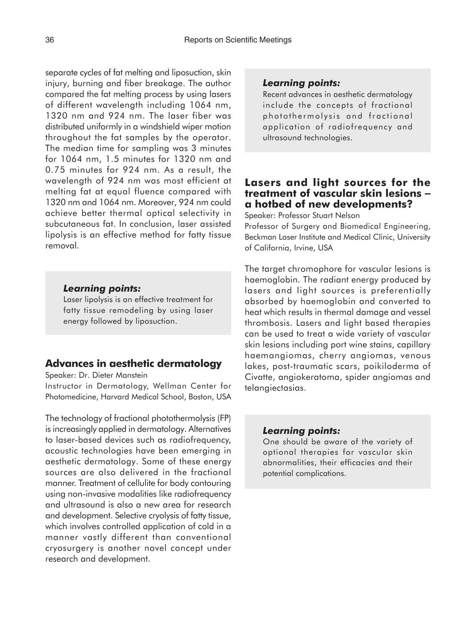separate cycles of fat melting and liposuction, skin injury, burning and fiber breakage. The author compared the fat melting process by using lasers of different wavelength including 1064 nm, 1320 nm and 924 nm. The laser fiber was distributed uniformly in a windshield wiper motion throughout the fat samples by the operator. The median time for sampling was 3 minutes for 1064 nm, 1.5 minutes for 1320 nm and 0.75 minutes for 924 nm. As a result, the wavelength of 924 nm was most efficient at melting fat at equal fluence compared with 1320 nm and 1064 nm. Moreover, 924 nm could achieve better thermal optical selectivity in subcutaneous fat. In conclusion, laser assisted lipolysis is an effective method for fatty tissue removal.

### *Learning points:*

Laser lipolysis is an effective treatment for fatty tissue remodeling by using laser energy followed by liposuction.

## **Advances in aesthetic dermatology**

Speaker: Dr. Dieter Manstein

Instructor in Dermatology, Wellman Center for Photomedicine, Harvard Medical School, Boston, USA

The technology of fractional photothermolysis (FP) is increasingly applied in dermatology. Alternatives to laser-based devices such as radiofrequency, acoustic technologies have been emerging in aesthetic dermatology. Some of these energy sources are also delivered in the fractional manner. Treatment of cellulite for body contouring using non-invasive modalities like radiofrequency and ultrasound is also a new area for research and development. Selective cryolysis of fatty tissue, which involves controlled application of cold in a manner vastly different than conventional cryosurgery is another novel concept under research and development.

#### *Learning points:*

Recent advances in aesthetic dermatology include the concepts of fractional photothermolysis and fractional application of radiofrequency and ultrasound technologies.

### **Lasers and light sources for the treatment of vascular skin lesions** − **a hotbed of new developments?**

Speaker: Professor Stuart Nelson

Professor of Surgery and Biomedical Engineering, Beckman Laser Institute and Medical Clinic, University of California, Irvine, USA

The target chromophore for vascular lesions is haemoglobin. The radiant energy produced by lasers and light sources is preferentially absorbed by haemoglobin and converted to heat which results in thermal damage and vessel thrombosis. Lasers and light based therapies can be used to treat a wide variety of vascular skin lesions including port wine stains, capillary haemangiomas, cherry angiomas, venous lakes, post-traumatic scars, poikiloderma of Civatte, angiokeratoma, spider angiomas and telangiectasias.

### *Learning points:*

One should be aware of the variety of optional therapies for vascular skin abnormalities, their efficacies and their potential complications.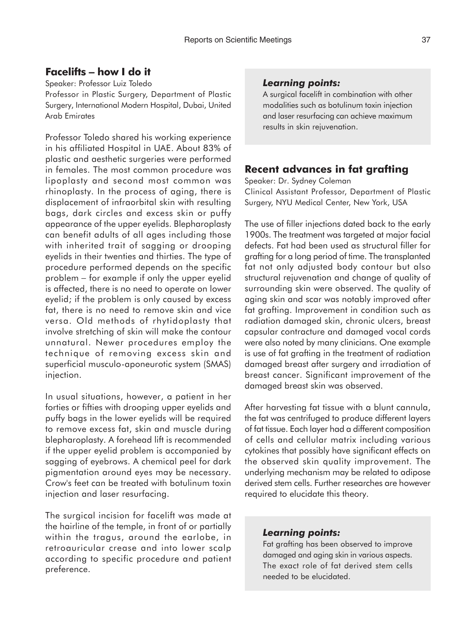## **Facelifts** − **how I do it**

Speaker: Professor Luiz Toledo Professor in Plastic Surgery, Department of Plastic Surgery, International Modern Hospital, Dubai, United Arab Emirates

Professor Toledo shared his working experience in his affiliated Hospital in UAE. About 83% of plastic and aesthetic surgeries were performed in females. The most common procedure was lipoplasty and second most common was rhinoplasty. In the process of aging, there is displacement of infraorbital skin with resulting bags, dark circles and excess skin or puffy appearance of the upper eyelids. Blepharoplasty can benefit adults of all ages including those with inherited trait of sagging or drooping eyelids in their twenties and thirties. The type of procedure performed depends on the specific problem − for example if only the upper eyelid is affected, there is no need to operate on lower eyelid; if the problem is only caused by excess fat, there is no need to remove skin and vice versa. Old methods of rhytidoplasty that involve stretching of skin will make the contour unnatural. Newer procedures employ the technique of removing excess skin and superficial musculo-aponeurotic system (SMAS) injection.

In usual situations, however, a patient in her forties or fifties with drooping upper eyelids and puffy bags in the lower eyelids will be required to remove excess fat, skin and muscle during blepharoplasty. A forehead lift is recommended if the upper eyelid problem is accompanied by sagging of eyebrows. A chemical peel for dark pigmentation around eyes may be necessary. Crow's feet can be treated with botulinum toxin injection and laser resurfacing.

The surgical incision for facelift was made at the hairline of the temple, in front of or partially within the tragus, around the earlobe, in retroauricular crease and into lower scalp according to specific procedure and patient preference.

### *Learning points:*

A surgical facelift in combination with other modalities such as botulinum toxin injection and laser resurfacing can achieve maximum results in skin rejuvenation.

## **Recent advances in fat grafting**

Speaker: Dr. Sydney Coleman Clinical Assistant Professor, Department of Plastic Surgery, NYU Medical Center, New York, USA

The use of filler injections dated back to the early 1900s. The treatment was targeted at major facial defects. Fat had been used as structural filler for grafting for a long period of time. The transplanted fat not only adjusted body contour but also structural rejuvenation and change of quality of surrounding skin were observed. The quality of aging skin and scar was notably improved after fat grafting. Improvement in condition such as radiation damaged skin, chronic ulcers, breast capsular contracture and damaged vocal cords were also noted by many clinicians. One example is use of fat grafting in the treatment of radiation damaged breast after surgery and irradiation of breast cancer. Significant improvement of the damaged breast skin was observed.

After harvesting fat tissue with a blunt cannula, the fat was centrifuged to produce different layers of fat tissue. Each layer had a different composition of cells and cellular matrix including various cytokines that possibly have significant effects on the observed skin quality improvement. The underlying mechanism may be related to adipose derived stem cells. Further researches are however required to elucidate this theory.

### *Learning points:*

Fat grafting has been observed to improve damaged and aging skin in various aspects. The exact role of fat derived stem cells needed to be elucidated.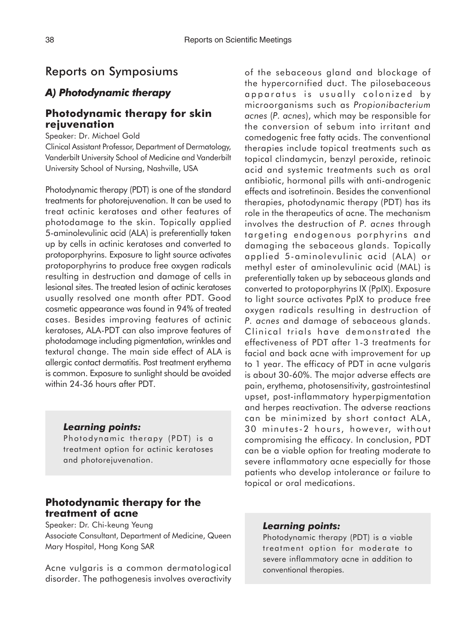## Reports on Symposiums

## *A) Photodynamic therapy*

### **Photodynamic therapy for skin rejuvenation**

Speaker: Dr. Michael Gold

Clinical Assistant Professor, Department of Dermatology, Vanderbilt University School of Medicine and Vanderbilt University School of Nursing, Nashville, USA

Photodynamic therapy (PDT) is one of the standard treatments for photorejuvenation. It can be used to treat actinic keratoses and other features of photodamage to the skin. Topically applied 5-aminolevulinic acid (ALA) is preferentially taken up by cells in actinic keratoses and converted to protoporphyrins. Exposure to light source activates protoporphyrins to produce free oxygen radicals resulting in destruction and damage of cells in lesional sites. The treated lesion of actinic keratoses usually resolved one month after PDT. Good cosmetic appearance was found in 94% of treated cases. Besides improving features of actinic keratoses, ALA-PDT can also improve features of photodamage including pigmentation, wrinkles and textural change. The main side effect of ALA is allergic contact dermatitis. Post treatment erythema is common. Exposure to sunlight should be avoided within 24-36 hours after PDT.

### *Learning points:*

Photodynamic therapy (PDT) is a treatment option for actinic keratoses and photorejuvenation.

## **Photodynamic therapy for the treatment of acne**

Speaker: Dr. Chi-keung Yeung Associate Consultant, Department of Medicine, Queen Mary Hospital, Hong Kong SAR

Acne vulgaris is a common dermatological disorder. The pathogenesis involves overactivity of the sebaceous gland and blockage of the hypercornified duct. The pilosebaceous apparatus is usually colonized by microorganisms such as *Propionibacterium acnes* (*P. acnes*), which may be responsible for the conversion of sebum into irritant and comedogenic free fatty acids. The conventional therapies include topical treatments such as topical clindamycin, benzyl peroxide, retinoic acid and systemic treatments such as oral antibiotic, hormonal pills with anti-androgenic effects and isotretinoin. Besides the conventional therapies, photodynamic therapy (PDT) has its role in the therapeutics of acne. The mechanism involves the destruction of *P. acnes* through targeting endogenous porphyrins and damaging the sebaceous glands. Topically applied 5-aminolevulinic acid (ALA) or methyl ester of aminolevulinic acid (MAL) is preferentially taken up by sebaceous glands and converted to protoporphyrins IX (PpIX). Exposure to light source activates PpIX to produce free oxygen radicals resulting in destruction of *P. acnes* and damage of sebaceous glands. Clinical trials have demonstrated the effectiveness of PDT after 1-3 treatments for facial and back acne with improvement for up to 1 year. The efficacy of PDT in acne vulgaris is about 30-60%. The major adverse effects are pain, erythema, photosensitivity, gastrointestinal upset, post-inflammatory hyperpigmentation and herpes reactivation. The adverse reactions can be minimized by short contact ALA, 30 minutes-2 hours, however, without compromising the efficacy. In conclusion, PDT can be a viable option for treating moderate to severe inflammatory acne especially for those patients who develop intolerance or failure to topical or oral medications.

#### *Learning points:*

Photodynamic therapy (PDT) is a viable treatment option for moderate to severe inflammatory acne in addition to conventional therapies.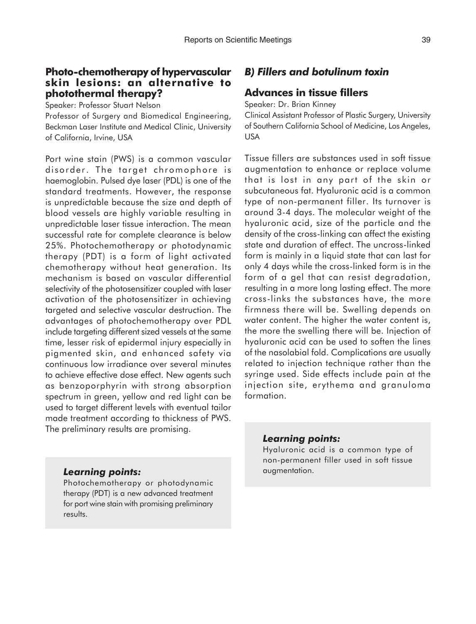### **Photo-chemotherapy of hypervascular skin lesions: an alternative to photothermal therapy?**

Speaker: Professor Stuart Nelson

Professor of Surgery and Biomedical Engineering, Beckman Laser Institute and Medical Clinic, University of California, Irvine, USA

Port wine stain (PWS) is a common vascular disorder. The target chromophore is haemoglobin. Pulsed dye laser (PDL) is one of the standard treatments. However, the response is unpredictable because the size and depth of blood vessels are highly variable resulting in unpredictable laser tissue interaction. The mean successful rate for complete clearance is below 25%. Photochemotherapy or photodynamic therapy (PDT) is a form of light activated chemotherapy without heat generation. Its mechanism is based on vascular differential selectivity of the photosensitizer coupled with laser activation of the photosensitizer in achieving targeted and selective vascular destruction. The advantages of photochemotherapy over PDL include targeting different sized vessels at the same time, lesser risk of epidermal injury especially in pigmented skin, and enhanced safety via continuous low irradiance over several minutes to achieve effective dose effect. New agents such as benzoporphyrin with strong absorption spectrum in green, yellow and red light can be used to target different levels with eventual tailor made treatment according to thickness of PWS. The preliminary results are promising.

## *B) Fillers and botulinum toxin*

### **Advances in tissue fillers**

Speaker: Dr. Brian Kinney Clinical Assistant Professor of Plastic Surgery, University of Southern California School of Medicine, Los Angeles, USA

Tissue fillers are substances used in soft tissue augmentation to enhance or replace volume that is lost in any part of the skin or subcutaneous fat. Hyaluronic acid is a common type of non-permanent filler. Its turnover is around 3-4 days. The molecular weight of the hyaluronic acid, size of the particle and the density of the cross-linking can affect the existing state and duration of effect. The uncross-linked form is mainly in a liquid state that can last for only 4 days while the cross-linked form is in the form of a gel that can resist degradation, resulting in a more long lasting effect. The more cross-links the substances have, the more firmness there will be. Swelling depends on water content. The higher the water content is, the more the swelling there will be. Injection of hyaluronic acid can be used to soften the lines of the nasolabial fold. Complications are usually related to injection technique rather than the syringe used. Side effects include pain at the injection site, erythema and granuloma formation.

### *Learning points:*

Photochemotherapy or photodynamic therapy (PDT) is a new advanced treatment for port wine stain with promising preliminary results.

### *Learning points:*

Hyaluronic acid is a common type of non-permanent filler used in soft tissue augmentation.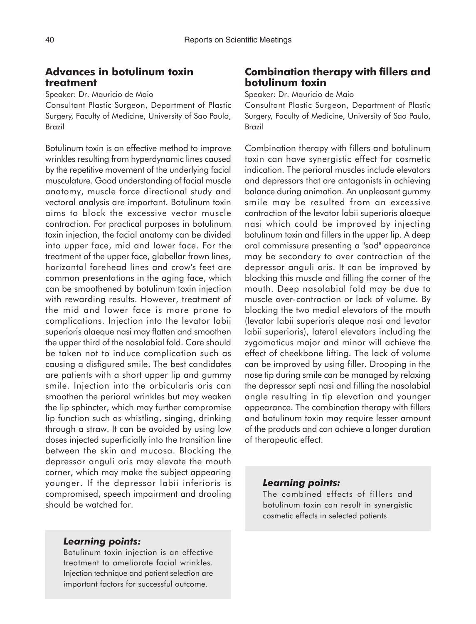## **Advances in botulinum toxin treatment**

Speaker: Dr. Mauricio de Maio

Consultant Plastic Surgeon, Department of Plastic Surgery, Faculty of Medicine, University of Sao Paulo, Brazil

Botulinum toxin is an effective method to improve wrinkles resulting from hyperdynamic lines caused by the repetitive movement of the underlying facial musculature. Good understanding of facial muscle anatomy, muscle force directional study and vectoral analysis are important. Botulinum toxin aims to block the excessive vector muscle contraction. For practical purposes in botulinum toxin injection, the facial anatomy can be divided into upper face, mid and lower face. For the treatment of the upper face, glabellar frown lines, horizontal forehead lines and crow's feet are common presentations in the aging face, which can be smoothened by botulinum toxin injection with rewarding results. However, treatment of the mid and lower face is more prone to complications. Injection into the levator labii superioris alaeque nasi may flatten and smoothen the upper third of the nasolabial fold. Care should be taken not to induce complication such as causing a disfigured smile. The best candidates are patients with a short upper lip and gummy smile. Injection into the orbicularis oris can smoothen the perioral wrinkles but may weaken the lip sphincter, which may further compromise lip function such as whistling, singing, drinking through a straw. It can be avoided by using low doses injected superficially into the transition line between the skin and mucosa. Blocking the depressor anguli oris may elevate the mouth corner, which may make the subject appearing younger. If the depressor labii inferioris is compromised, speech impairment and drooling should be watched for.

## **Combination therapy with fillers and botulinum toxin**

Speaker: Dr. Mauricio de Maio

Consultant Plastic Surgeon, Department of Plastic Surgery, Faculty of Medicine, University of Sao Paulo, Brazil

Combination therapy with fillers and botulinum toxin can have synergistic effect for cosmetic indication. The perioral muscles include elevators and depressors that are antagonists in achieving balance during animation. An unpleasant gummy smile may be resulted from an excessive contraction of the levator labii superioris alaeque nasi which could be improved by injecting botulinum toxin and fillers in the upper lip. A deep oral commissure presenting a "sad" appearance may be secondary to over contraction of the depressor anguli oris. It can be improved by blocking this muscle and filling the corner of the mouth. Deep nasolabial fold may be due to muscle over-contraction or lack of volume. By blocking the two medial elevators of the mouth (levator labii superioris aleque nasi and levator labii superioris), lateral elevators including the zygomaticus major and minor will achieve the effect of cheekbone lifting. The lack of volume can be improved by using filler. Drooping in the nose tip during smile can be managed by relaxing the depressor septi nasi and filling the nasolabial angle resulting in tip elevation and younger appearance. The combination therapy with fillers and botulinum toxin may require lesser amount of the products and can achieve a longer duration of therapeutic effect.

#### *Learning points:*

The combined effects of fillers and botulinum toxin can result in synergistic cosmetic effects in selected patients

### *Learning points:*

Botulinum toxin injection is an effective treatment to ameliorate facial wrinkles. Injection technique and patient selection are important factors for successful outcome.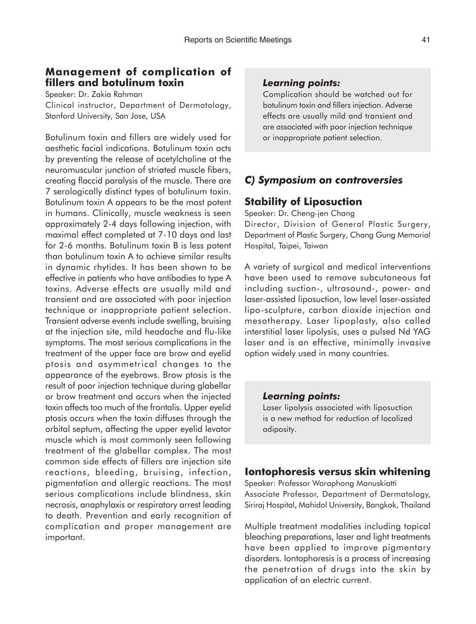## **Management of complication of fillers and botulinum toxin**

Speaker: Dr. Zakia Rahman Clinical instructor, Department of Dermatology, Stanford University, San Jose, USA

Botulinum toxin and fillers are widely used for aesthetic facial indications. Botulinum toxin acts by preventing the release of acetylcholine at the neuromuscular junction of striated muscle fibers, creating flaccid paralysis of the muscle. There are 7 serologically distinct types of botulinum toxin. Botulinum toxin A appears to be the most potent in humans. Clinically, muscle weakness is seen approximately 2-4 days following injection, with maximal effect completed at 7-10 days and last for 2-6 months. Botulinum toxin B is less potent than botulinum toxin A to achieve similar results in dynamic rhytides. It has been shown to be effective in patients who have antibodies to type A toxins. Adverse effects are usually mild and transient and are associated with poor injection technique or inappropriate patient selection. Transient adverse events include swelling, bruising at the injection site, mild headache and flu-like symptoms. The most serious complications in the treatment of the upper face are brow and eyelid ptosis and asymmetrical changes to the appearance of the eyebrows. Brow ptosis is the result of poor injection technique during glabellar or brow treatment and occurs when the injected toxin affects too much of the frontalis. Upper eyelid ptosis occurs when the toxin diffuses through the orbital septum, affecting the upper eyelid levator muscle which is most commonly seen following treatment of the glabellar complex. The most common side effects of fillers are injection site reactions, bleeding, bruising, infection, pigmentation and allergic reactions. The most serious complications include blindness, skin necrosis, anaphylaxis or respiratory arrest leading to death. Prevention and early recognition of complication and proper management are important.

### *Learning points:*

Complication should be watched out for botulinum toxin and fillers injection. Adverse effects are usually mild and transient and are associated with poor injection technique or inappropriate patient selection.

## *C) Symposium on controversies*

## **Stability of Liposuction**

Speaker: Dr. Cheng-jen Chang Director, Division of General Plastic Surgery, Department of Plastic Surgery, Chang Gung Memorial Hospital, Taipei, Taiwan

A variety of surgical and medical interventions have been used to remove subcutaneous fat including suction-, ultrasound-, power- and laser-assisted liposuction, low level laser-assisted lipo-sculpture, carbon dioxide injection and mesotherapy. Laser lipoplasty, also called interstitial laser lipolysis, uses a pulsed Nd YAG laser and is an effective, minimally invasive option widely used in many countries.

### *Learning points:*

Laser lipolysis associated with liposuction is a new method for reduction of localized adiposity.

## **Iontophoresis versus skin whitening**

Speaker: Professor Woraphong Manuskiatti Associate Professor, Department of Dermatology, Siriraj Hospital, Mahidol University, Bangkok, Thailand

Multiple treatment modalities including topical bleaching preparations, laser and light treatments have been applied to improve pigmentary disorders. Iontophoresis is a process of increasing the penetration of drugs into the skin by application of an electric current.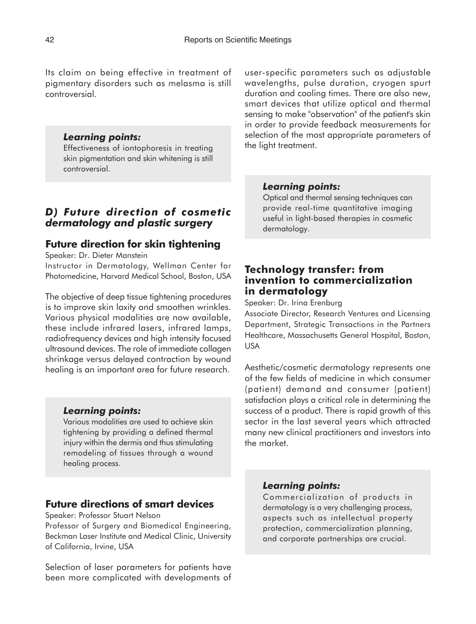Its claim on being effective in treatment of pigmentary disorders such as melasma is still controversial.

### *Learning points:*

Effectiveness of iontophoresis in treating skin pigmentation and skin whitening is still controversial.

## *D) Future direction of cosmetic dermatology and plastic surgery*

### **Future direction for skin tightening**

Speaker: Dr. Dieter Manstein

Instructor in Dermatology, Wellman Center for Photomedicine, Harvard Medical School, Boston, USA

The objective of deep tissue tightening procedures is to improve skin laxity and smoothen wrinkles. Various physical modalities are now available, these include infrared lasers, infrared lamps, radiofrequency devices and high intensity focused ultrasound devices. The role of immediate collagen shrinkage versus delayed contraction by wound healing is an important area for future research.

#### *Learning points:*

Various modalities are used to achieve skin tightening by providing a defined thermal injury within the dermis and thus stimulating remodeling of tissues through a wound healing process.

### **Future directions of smart devices**

Speaker: Professor Stuart Nelson

Professor of Surgery and Biomedical Engineering, Beckman Laser Institute and Medical Clinic, University of California, Irvine, USA

Selection of laser parameters for patients have been more complicated with developments of user-specific parameters such as adjustable wavelengths, pulse duration, cryogen spurt duration and cooling times. There are also new, smart devices that utilize optical and thermal sensing to make "observation" of the patient's skin in order to provide feedback measurements for selection of the most appropriate parameters of the light treatment.

### *Learning points:*

Optical and thermal sensing techniques can provide real-time quantitative imaging useful in light-based therapies in cosmetic dermatology.

## **Technology transfer: from invention to commercialization in dermatology**

Speaker: Dr. Irina Erenburg

Associate Director, Research Ventures and Licensing Department, Strategic Transactions in the Partners Healthcare, Massachusetts General Hospital, Boston, USA

Aesthetic/cosmetic dermatology represents one of the few fields of medicine in which consumer (patient) demand and consumer (patient) satisfaction plays a critical role in determining the success of a product. There is rapid growth of this sector in the last several years which attracted many new clinical practitioners and investors into the market.

#### *Learning points:*

Commercialization of products in dermatology is a very challenging process, aspects such as intellectual property protection, commercialization planning, and corporate partnerships are crucial.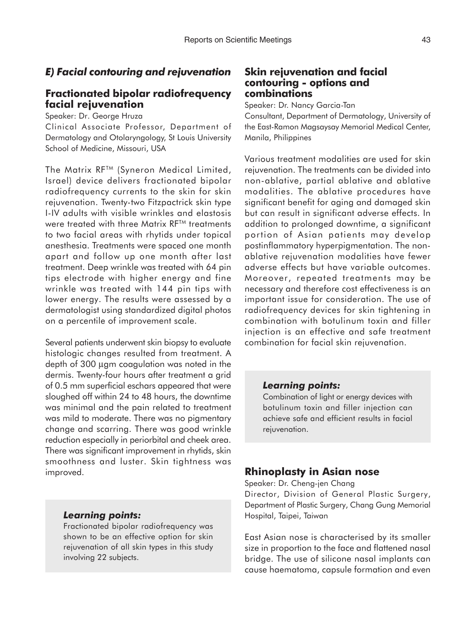## *E) Facial contouring and rejuvenation*

## **Fractionated bipolar radiofrequency facial rejuvenation**

Speaker: Dr. George Hruza

Clinical Associate Professor, Department of Dermatology and Otolaryngology, St Louis University School of Medicine, Missouri, USA

The Matrix RF™ (Syneron Medical Limited, Israel) device delivers fractionated bipolar radiofrequency currents to the skin for skin rejuvenation. Twenty-two Fitzpactrick skin type I-IV adults with visible wrinkles and elastosis were treated with three Matrix RF™ treatments to two facial areas with rhytids under topical anesthesia. Treatments were spaced one month apart and follow up one month after last treatment. Deep wrinkle was treated with 64 pin tips electrode with higher energy and fine wrinkle was treated with 144 pin tips with lower energy. The results were assessed by a dermatologist using standardized digital photos on a percentile of improvement scale.

Several patients underwent skin biopsy to evaluate histologic changes resulted from treatment. A depth of 300 µgm coagulation was noted in the dermis. Twenty-four hours after treatment a grid of 0.5 mm superficial eschars appeared that were sloughed off within 24 to 48 hours, the downtime was minimal and the pain related to treatment was mild to moderate. There was no pigmentary change and scarring. There was good wrinkle reduction especially in periorbital and cheek area. There was significant improvement in rhytids, skin smoothness and luster. Skin tightness was improved.

### *Learning points:*

Fractionated bipolar radiofrequency was shown to be an effective option for skin rejuvenation of all skin types in this study involving 22 subjects.

## **Skin rejuvenation and facial contouring - options and combinations**

Speaker: Dr. Nancy Garcia-Tan

Consultant, Department of Dermatology, University of the East-Ramon Magsaysay Memorial Medical Center, Manila, Philippines

Various treatment modalities are used for skin rejuvenation. The treatments can be divided into non-ablative, partial ablative and ablative modalities. The ablative procedures have significant benefit for aging and damaged skin but can result in significant adverse effects. In addition to prolonged downtime, a significant portion of Asian patients may develop postinflammatory hyperpigmentation. The nonablative rejuvenation modalities have fewer adverse effects but have variable outcomes. Moreover, repeated treatments may be necessary and therefore cost effectiveness is an important issue for consideration. The use of radiofrequency devices for skin tightening in combination with botulinum toxin and filler injection is an effective and safe treatment combination for facial skin rejuvenation.

### *Learning points:*

Combination of light or energy devices with botulinum toxin and filler injection can achieve safe and efficient results in facial rejuvenation.

## **Rhinoplasty in Asian nose**

Speaker: Dr. Cheng-jen Chang

Director, Division of General Plastic Surgery, Department of Plastic Surgery, Chang Gung Memorial Hospital, Taipei, Taiwan

East Asian nose is characterised by its smaller size in proportion to the face and flattened nasal bridge. The use of silicone nasal implants can cause haematoma, capsule formation and even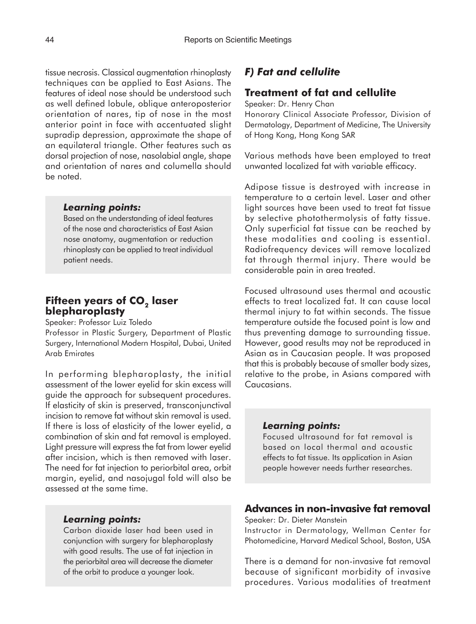tissue necrosis. Classical augmentation rhinoplasty techniques can be applied to East Asians. The features of ideal nose should be understood such as well defined lobule, oblique anteroposterior orientation of nares, tip of nose in the most anterior point in face with accentuated slight supradip depression, approximate the shape of an equilateral triangle. Other features such as dorsal projection of nose, nasolabial angle, shape and orientation of nares and columella should be noted.

#### *Learning points:*

Based on the understanding of ideal features of the nose and characteristics of East Asian nose anatomy, augmentation or reduction rhinoplasty can be applied to treat individual patient needs.

## **Fifteen years of CO<sub>2</sub> laser blepharoplasty**

Speaker: Professor Luiz Toledo

Professor in Plastic Surgery, Department of Plastic Surgery, International Modern Hospital, Dubai, United Arab Emirates

In performing blepharoplasty, the initial assessment of the lower eyelid for skin excess will guide the approach for subsequent procedures. If elasticity of skin is preserved, transconjunctival incision to remove fat without skin removal is used. If there is loss of elasticity of the lower eyelid, a combination of skin and fat removal is employed. Light pressure will express the fat from lower eyelid after incision, which is then removed with laser. The need for fat injection to periorbital area, orbit margin, eyelid, and nasojugal fold will also be assessed at the same time.

#### *Learning points:*

Carbon dioxide laser had been used in conjunction with surgery for blepharoplasty with good results. The use of fat injection in the periorbital area will decrease the diameter of the orbit to produce a younger look.

### *F) Fat and cellulite*

## **Treatment of fat and cellulite**

Speaker: Dr. Henry Chan Honorary Clinical Associate Professor, Division of Dermatology, Department of Medicine, The University of Hong Kong, Hong Kong SAR

Various methods have been employed to treat unwanted localized fat with variable efficacy.

Adipose tissue is destroyed with increase in temperature to a certain level. Laser and other light sources have been used to treat fat tissue by selective photothermolysis of fatty tissue. Only superficial fat tissue can be reached by these modalities and cooling is essential. Radiofrequency devices will remove localized fat through thermal injury. There would be considerable pain in area treated.

Focused ultrasound uses thermal and acoustic effects to treat localized fat. It can cause local thermal injury to fat within seconds. The tissue temperature outside the focused point is low and thus preventing damage to surrounding tissue. However, good results may not be reproduced in Asian as in Caucasian people. It was proposed that this is probably because of smaller body sizes, relative to the probe, in Asians compared with Caucasians.

### *Learning points:*

Focused ultrasound for fat removal is based on local thermal and acoustic effects to fat tissue. Its application in Asian people however needs further researches.

## **Advances in non-invasive fat removal**

Speaker: Dr. Dieter Manstein

Instructor in Dermatology, Wellman Center for Photomedicine, Harvard Medical School, Boston, USA

There is a demand for non-invasive fat removal because of significant morbidity of invasive procedures. Various modalities of treatment